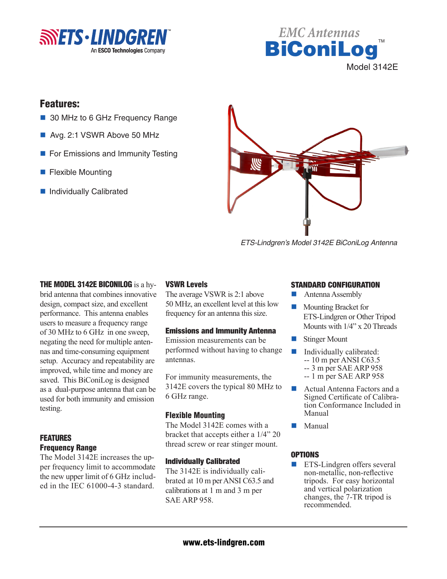



# Features:

- 30 MHz to 6 GHz Frequency Range
- Avg. 2:1 VSWR Above 50 MHz
- For Emissions and Immunity Testing
- $\blacksquare$  Flexible Mounting
- Individually Calibrated



*ETS-Lindgren's Model 3142E BiConiLog Antenna*

## THE MODEL 3142E BICONILOG is a hy-

brid antenna that combines innovative design, compact size, and excellent performance. This antenna enables users to measure a frequency range of 30 MHz to 6 GHz in one sweep, negating the need for multiple antennas and time-consuming equipment setup. Accuracy and repeatability are improved, while time and money are saved. This BiConiLog is designed as a dual-purpose antenna that can be used for both immunity and emission testing.

## FEATURES Frequency Range

The Model 3142E increases the upper frequency limit to accommodate the new upper limit of 6 GHz included in the IEC 61000-4-3 standard.

## VSWR Levels

The average VSWR is 2:1 above 50 MHz, an excellent level at this low frequency for an antenna this size.

### Emissions and Immunity Antenna

Emission measurements can be performed without having to change antennas.

For immunity measurements, the 3142E covers the typical 80 MHz to 6 GHz range.

### Flexible Mounting

The Model 3142E comes with a bracket that accepts either a 1/4" 20 thread screw or rear stinger mount.

### Individually Calibrated

The 3142E is individually calibrated at 10 m per ANSI C63.5 and calibrations at 1 m and 3 m per SAE ARP 958.

#### STANDARD CONFIGURATION

- $\blacksquare$  Antenna Assembly
- n Mounting Bracket for ETS-Lindgren or Other Tripod Mounts with 1/4" x 20 Threads
- **Stinger Mount**
- $\blacksquare$  Individually calibrated: -- 10 m per ANSI C63.5 -- 3 m per SAE ARP 958
	- -- 1 m per SAE ARP 958
- Actual Antenna Factors and a Signed Certificate of Calibration Conformance Included in Manual
- Manual

### **OPTIONS**

ETS-Lindgren offers several non-metallic, non-reflective tripods. For easy horizontal and vertical polarization changes, the 7-TR tripod is recommended.